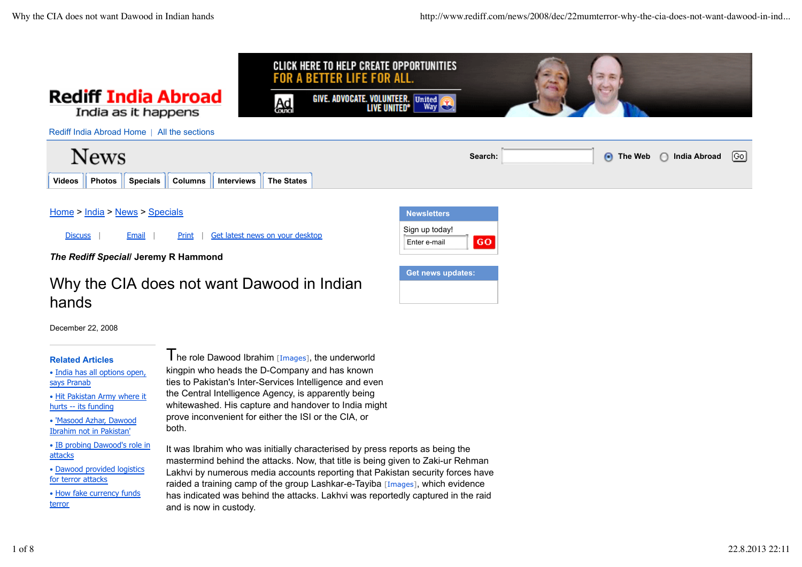

# Why the CIA does not want Dawood in Indian hands

**Get news updates:**

December 22, 2008

## **Related Articles**

• India has all options open, says Pranab

• Hit Pakistan Army where it hurts -- its funding

• 'Masood Azhar, Dawood Ibrahim not in Pakistan'

• IB probing Dawood's role in attacks

• Dawood provided logistics for terror attacks

• How fake currency funds terror

 $\mathbf I$  he role Dawood Ibrahim [Images], the underworld kingpin who heads the D-Company and has known ties to Pakistan's Inter-Services Intelligence and even the Central Intelligence Agency, is apparently being whitewashed. His capture and handover to India might prove inconvenient for either the ISI or the CIA, or both.

It was Ibrahim who was initially characterised by press reports as being the mastermind behind the attacks. Now, that title is being given to Zaki-ur Rehman Lakhvi by numerous media accounts reporting that Pakistan security forces have raided a training camp of the group Lashkar-e-Tayiba [Images], which evidence has indicated was behind the attacks. Lakhvi was reportedly captured in the raid and is now in custody.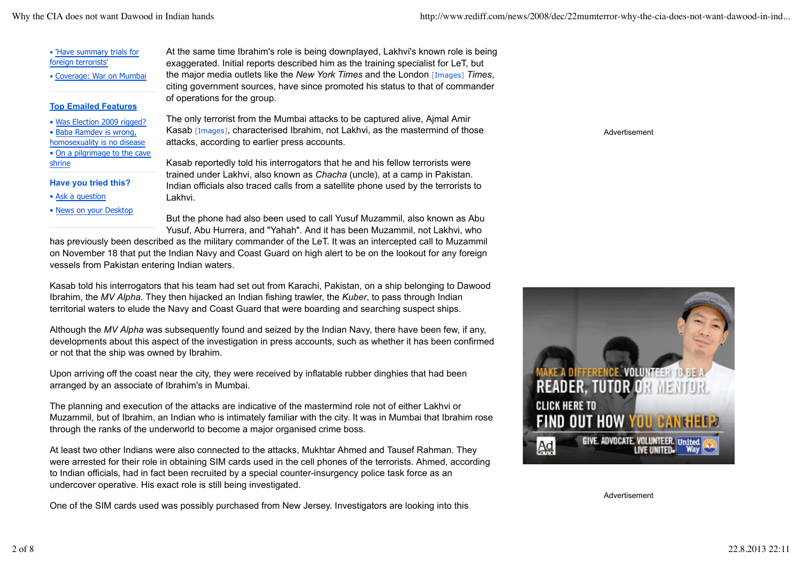• 'Have summary trials for foreign terrorists'

• Coverage: War on Mumbai

### **Top Emailed Features**

- Was Election 2009 rigged?
- Baba Ramdev is wrong,
- homosexuality is no disease
- On a pilgrimage to the cave shrine
- **Have you tried this?**
- Ask a question
- News on your Desktop

At the same time Ibrahim's role is being downplayed, Lakhvi's known role is being exaggerated. Initial reports described him as the training specialist for LeT, but the major media outlets like the *New York Times* and the London [Images] *Times*, citing government sources, have since promoted his status to that of commander of operations for the group.

The only terrorist from the Mumbai attacks to be captured alive, Ajmal Amir Kasab [Images], characterised Ibrahim, not Lakhvi, as the mastermind of those attacks, according to earlier press accounts.

Kasab reportedly told his interrogators that he and his fellow terrorists were trained under Lakhvi, also known as *Chacha* (uncle), at a camp in Pakistan. Indian officials also traced calls from a satellite phone used by the terrorists to Lakhvi.

But the phone had also been used to call Yusuf Muzammil, also known as Abu Yusuf, Abu Hurrera, and "Yahah". And it has been Muzammil, not Lakhvi, who

has previously been described as the military commander of the LeT. It was an intercepted call to Muzammil on November 18 that put the Indian Navy and Coast Guard on high alert to be on the lookout for any foreign vessels from Pakistan entering Indian waters.

Kasab told his interrogators that his team had set out from Karachi, Pakistan, on a ship belonging to Dawood Ibrahim, the *MV Alpha*. They then hijacked an Indian fishing trawler, the *Kuber*, to pass through Indian territorial waters to elude the Navy and Coast Guard that were boarding and searching suspect ships.

Although the *MV Alpha* was subsequently found and seized by the Indian Navy, there have been few, if any, developments about this aspect of the investigation in press accounts, such as whether it has been confirmed or not that the ship was owned by Ibrahim.

Upon arriving off the coast near the city, they were received by inflatable rubber dinghies that had been arranged by an associate of Ibrahim's in Mumbai.

The planning and execution of the attacks are indicative of the mastermind role not of either Lakhvi or Muzammil, but of Ibrahim, an Indian who is intimately familiar with the city. It was in Mumbai that Ibrahim rose through the ranks of the underworld to become a major organised crime boss.

At least two other Indians were also connected to the attacks, Mukhtar Ahmed and Tausef Rahman. They were arrested for their role in obtaining SIM cards used in the cell phones of the terrorists. Ahmed, according to Indian officials, had in fact been recruited by a special counter-insurgency police task force as an undercover operative. His exact role is still being investigated.

One of the SIM cards used was possibly purchased from New Jersey. Investigators are looking into this

Advertisement



Advertisement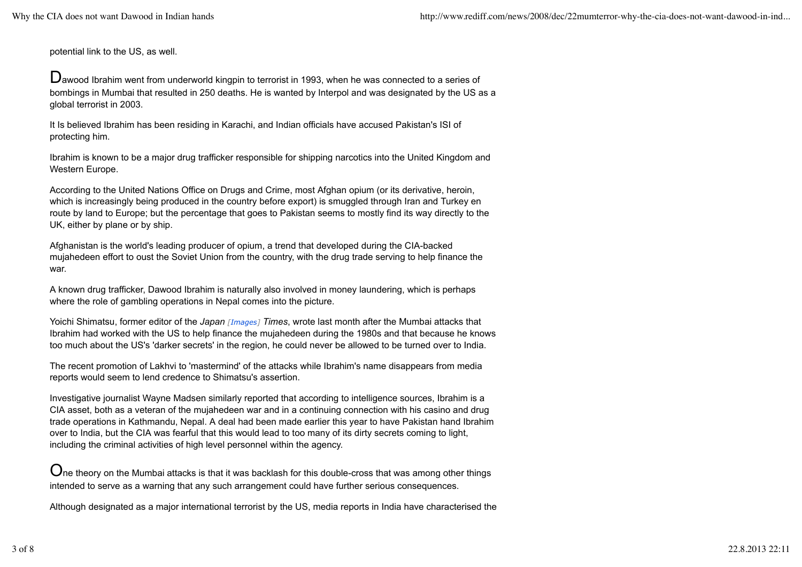potential link to the US, as well.

Dawood Ibrahim went from underworld kingpin to terrorist in 1993, when he was connected to a series of bombings in Mumbai that resulted in 250 deaths. He is wanted by Interpol and was designated by the US as a global terrorist in 2003.

It Is believed Ibrahim has been residing in Karachi, and Indian officials have accused Pakistan's ISI of protecting him.

Ibrahim is known to be a major drug trafficker responsible for shipping narcotics into the United Kingdom and Western Europe.

According to the United Nations Office on Drugs and Crime, most Afghan opium (or its derivative, heroin, which is increasingly being produced in the country before export) is smuggled through Iran and Turkey en route by land to Europe; but the percentage that goes to Pakistan seems to mostly find its way directly to the UK, either by plane or by ship.

Afghanistan is the world's leading producer of opium, a trend that developed during the CIA-backed mujahedeen effort to oust the Soviet Union from the country, with the drug trade serving to help finance the war.

A known drug trafficker, Dawood Ibrahim is naturally also involved in money laundering, which is perhaps where the role of gambling operations in Nepal comes into the picture.

Yoichi Shimatsu, former editor of the *Japan [Images] Times*, wrote last month after the Mumbai attacks that Ibrahim had worked with the US to help finance the mujahedeen during the 1980s and that because he knows too much about the US's 'darker secrets' in the region, he could never be allowed to be turned over to India.

The recent promotion of Lakhvi to 'mastermind' of the attacks while Ibrahim's name disappears from media reports would seem to lend credence to Shimatsu's assertion.

Investigative journalist Wayne Madsen similarly reported that according to intelligence sources, Ibrahim is a CIA asset, both as a veteran of the mujahedeen war and in a continuing connection with his casino and drug trade operations in Kathmandu, Nepal. A deal had been made earlier this year to have Pakistan hand Ibrahim over to India, but the CIA was fearful that this would lead to too many of its dirty secrets coming to light, including the criminal activities of high level personnel within the agency.

 $O$ ne theorv on the Mumbai attacks is that it was backlash for this double-cross that was among other things intended to serve as a warning that any such arrangement could have further serious consequences.

Although designated as a major international terrorist by the US, media reports in India have characterised the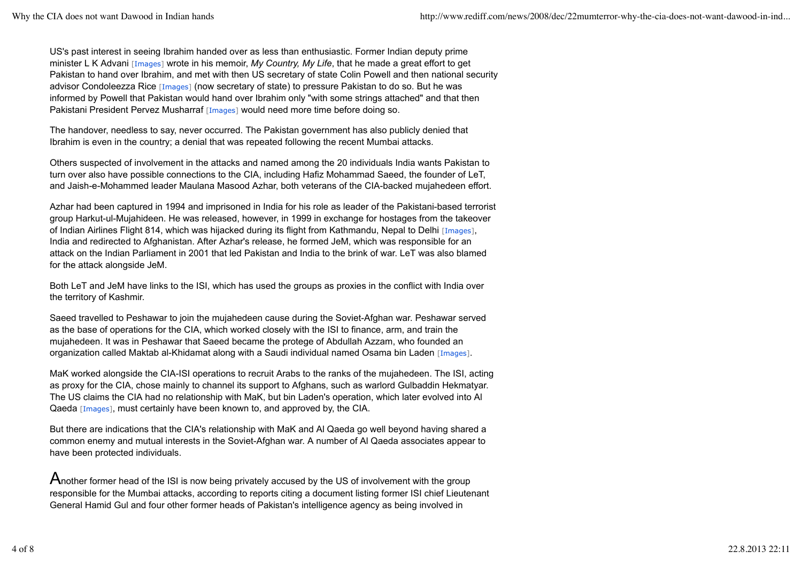US's past interest in seeing Ibrahim handed over as less than enthusiastic. Former Indian deputy prime minister L K Advani [Images] wrote in his memoir, *My Country, My Life*, that he made a great effort to get Pakistan to hand over Ibrahim, and met with then US secretary of state Colin Powell and then national security advisor Condoleezza Rice [Images] (now secretary of state) to pressure Pakistan to do so. But he was informed by Powell that Pakistan would hand over Ibrahim only "with some strings attached" and that then Pakistani President Pervez Musharraf [Images] would need more time before doing so.

The handover, needless to say, never occurred. The Pakistan government has also publicly denied that Ibrahim is even in the country; a denial that was repeated following the recent Mumbai attacks.

Others suspected of involvement in the attacks and named among the 20 individuals India wants Pakistan to turn over also have possible connections to the CIA, including Hafiz Mohammad Saeed, the founder of LeT, and Jaish-e-Mohammed leader Maulana Masood Azhar, both veterans of the CIA-backed mujahedeen effort.

Azhar had been captured in 1994 and imprisoned in India for his role as leader of the Pakistani-based terrorist group Harkut-ul-Mujahideen. He was released, however, in 1999 in exchange for hostages from the takeover of Indian Airlines Flight 814, which was hijacked during its flight from Kathmandu, Nepal to Delhi [Images], India and redirected to Afghanistan. After Azhar's release, he formed JeM, which was responsible for an attack on the Indian Parliament in 2001 that led Pakistan and India to the brink of war. LeT was also blamed for the attack alongside JeM.

Both LeT and JeM have links to the ISI, which has used the groups as proxies in the conflict with India over the territory of Kashmir.

Saeed travelled to Peshawar to join the mujahedeen cause during the Soviet-Afghan war. Peshawar served as the base of operations for the CIA, which worked closely with the ISI to finance, arm, and train the mujahedeen. It was in Peshawar that Saeed became the protege of Abdullah Azzam, who founded an organization called Maktab al-Khidamat along with a Saudi individual named Osama bin Laden [Images].

MaK worked alongside the CIA-ISI operations to recruit Arabs to the ranks of the mujahedeen. The ISI, acting as proxy for the CIA, chose mainly to channel its support to Afghans, such as warlord Gulbaddin Hekmatyar. The US claims the CIA had no relationship with MaK, but bin Laden's operation, which later evolved into Al Qaeda [Images], must certainly have been known to, and approved by, the CIA.

But there are indications that the CIA's relationship with MaK and Al Qaeda go well beyond having shared a common enemy and mutual interests in the Soviet-Afghan war. A number of Al Qaeda associates appear to have been protected individuals.

Another former head of the ISI is now being privately accused by the US of involvement with the group responsible for the Mumbai attacks, according to reports citing a document listing former ISI chief Lieutenant General Hamid Gul and four other former heads of Pakistan's intelligence agency as being involved in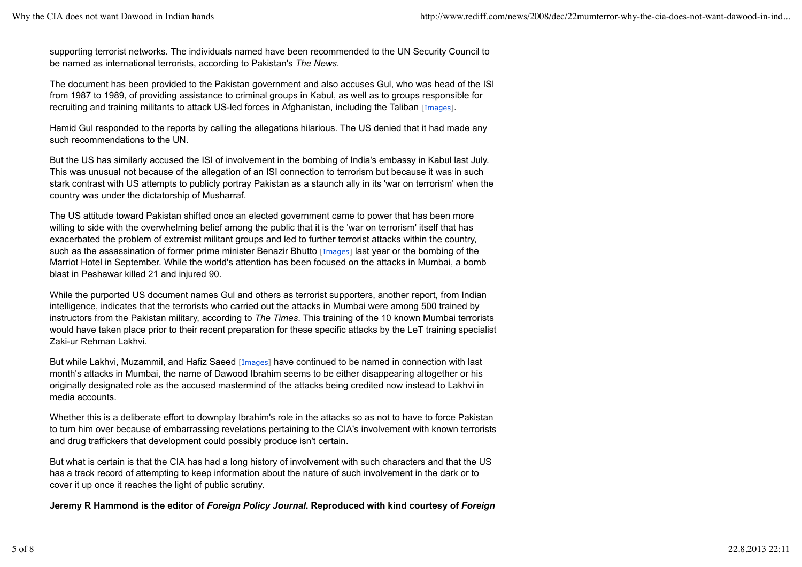supporting terrorist networks. The individuals named have been recommended to the UN Security Council to be named as international terrorists, according to Pakistan's *The News*.

The document has been provided to the Pakistan government and also accuses Gul, who was head of the ISI from 1987 to 1989, of providing assistance to criminal groups in Kabul, as well as to groups responsible for recruiting and training militants to attack US-led forces in Afghanistan, including the Taliban [Images].

Hamid Gul responded to the reports by calling the allegations hilarious. The US denied that it had made any such recommendations to the UN.

But the US has similarly accused the ISI of involvement in the bombing of India's embassy in Kabul last July. This was unusual not because of the allegation of an ISI connection to terrorism but because it was in such stark contrast with US attempts to publicly portray Pakistan as a staunch ally in its 'war on terrorism' when the country was under the dictatorship of Musharraf.

The US attitude toward Pakistan shifted once an elected government came to power that has been more willing to side with the overwhelming belief among the public that it is the 'war on terrorism' itself that has exacerbated the problem of extremist militant groups and led to further terrorist attacks within the country, such as the assassination of former prime minister Benazir Bhutto [Images] last year or the bombing of the Marriot Hotel in September. While the world's attention has been focused on the attacks in Mumbai, a bomb blast in Peshawar killed 21 and injured 90.

While the purported US document names Gul and others as terrorist supporters, another report, from Indian intelligence, indicates that the terrorists who carried out the attacks in Mumbai were among 500 trained by instructors from the Pakistan military, according to *The Times*. This training of the 10 known Mumbai terrorists would have taken place prior to their recent preparation for these specific attacks by the LeT training specialist Zaki-ur Rehman Lakhvi.

But while Lakhvi, Muzammil, and Hafiz Saeed [Images] have continued to be named in connection with last month's attacks in Mumbai, the name of Dawood Ibrahim seems to be either disappearing altogether or his originally designated role as the accused mastermind of the attacks being credited now instead to Lakhvi in media accounts.

Whether this is a deliberate effort to downplay Ibrahim's role in the attacks so as not to have to force Pakistan to turn him over because of embarrassing revelations pertaining to the CIA's involvement with known terrorists and drug traffickers that development could possibly produce isn't certain.

But what is certain is that the CIA has had a long history of involvement with such characters and that the US has a track record of attempting to keep information about the nature of such involvement in the dark or to cover it up once it reaches the light of public scrutiny.

**Jeremy R Hammond is the editor of** *Foreign Policy Journal***. Reproduced with kind courtesy of** *Foreign*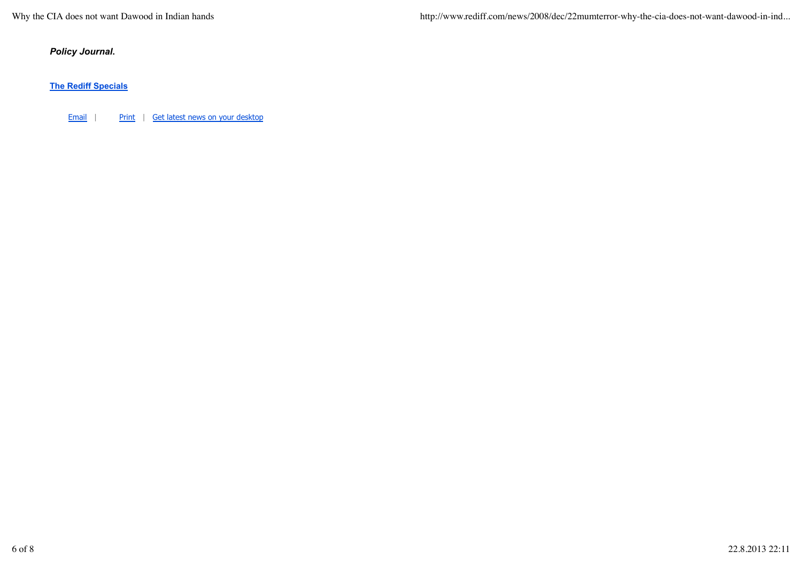Why the CIA does not want Dawood in Indian hands http://www.rediff.com/news/2008/dec/22mumterror-why-the-cia-does-not-want-dawood-in-ind...

*Policy Journal***.**

**The Rediff Specials**

Email | Print | Get latest news on your desktop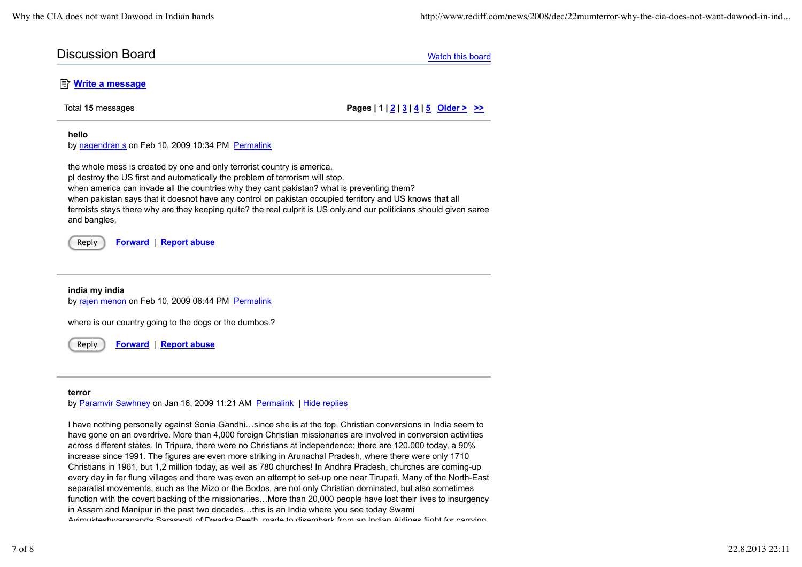| <b>Discussion Board</b> | Watch this board |
|-------------------------|------------------|
|                         |                  |

## **E** Write a message

Total **15** messages **Pages | 1 | 2 | 3 | 4 | 5 Older > >>**

#### **hello**

by nagendran s on Feb 10, 2009 10:34 PM Permalink

the whole mess is created by one and only terrorist country is america. pl destroy the US first and automatically the problem of terrorism will stop. when america can invade all the countries why they cant pakistan? what is preventing them? when pakistan says that it doesnot have any control on pakistan occupied territory and US knows that all terroists stays there why are they keeping quite? the real culprit is US only.and our politicians should given saree and bangles,

Reply **Forward** | **Report abuse**

**india my india** by rajen menon on Feb 10, 2009 06:44 PM Permalink

where is our country going to the dogs or the dumbos.?

Reply **Forward** | **Report abuse**

#### **terror**

by Paramvir Sawhney on Jan 16, 2009 11:21 AM Permalink | Hide replies

I have nothing personally against Sonia Gandhi…since she is at the top, Christian conversions in India seem to have gone on an overdrive. More than 4,000 foreign Christian missionaries are involved in conversion activities across different states. In Tripura, there were no Christians at independence; there are 120.000 today, a 90% increase since 1991. The figures are even more striking in Arunachal Pradesh, where there were only 1710 Christians in 1961, but 1,2 million today, as well as 780 churches! In Andhra Pradesh, churches are coming-up every day in far flung villages and there was even an attempt to set-up one near Tirupati. Many of the North-East separatist movements, such as the Mizo or the Bodos, are not only Christian dominated, but also sometimes function with the covert backing of the missionaries…More than 20,000 people have lost their lives to insurgency in Assam and Manipur in the past two decades…this is an India where you see today Swami Avimuktechwarananda Saraswati of Dwarka Peeth, made to disembark from an Indian Airlines flight for carrying